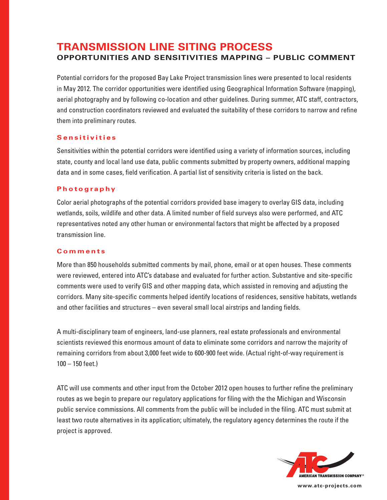# **TRANSMISSION LINE SITING PROCESS OPPORTUNITIES AND SENSITIVITIES MAPPING – PUBLIC COMMENT**

Potential corridors for the proposed Bay Lake Project transmission lines were presented to local residents in May 2012. The corridor opportunities were identified using Geographical Information Software (mapping), aerial photography and by following co-location and other guidelines. During summer, ATC staff, contractors, and construction coordinators reviewed and evaluated the suitability of these corridors to narrow and refine them into preliminary routes.

## **S e n s i t i v i t i e s**

Sensitivities within the potential corridors were identified using a variety of information sources, including state, county and local land use data, public comments submitted by property owners, additional mapping data and in some cases, field verification. A partial list of sensitivity criteria is listed on the back.

## **P h o t o g r a p hy**

Color aerial photographs of the potential corridors provided base imagery to overlay GIS data, including wetlands, soils, wildlife and other data. A limited number of field surveys also were performed, and ATC representatives noted any other human or environmental factors that might be affected by a proposed transmission line.

## **C o m m e n t s**

More than 850 households submitted comments by mail, phone, email or at open houses. These comments were reviewed, entered into ATC's database and evaluated for further action. Substantive and site-specific comments were used to verify GIS and other mapping data, which assisted in removing and adjusting the corridors. Many site-specific comments helped identify locations of residences, sensitive habitats, wetlands and other facilities and structures – even several small local airstrips and landing fields.

A multi-disciplinary team of engineers, land-use planners, real estate professionals and environmental scientists reviewed this enormous amount of data to eliminate some corridors and narrow the majority of remaining corridors from about 3,000 feet wide to 600-900 feet wide. (Actual right-of-way requirement is 100 – 150 feet.)

ATC will use comments and other input from the October 2012 open houses to further refine the preliminary routes as we begin to prepare our regulatory applications for filing with the the Michigan and Wisconsin public service commissions. All comments from the public will be included in the filing. ATC must submit at least two route alternatives in its application; ultimately, the regulatory agency determines the route if the project is approved.



**www.atc-projects.com**